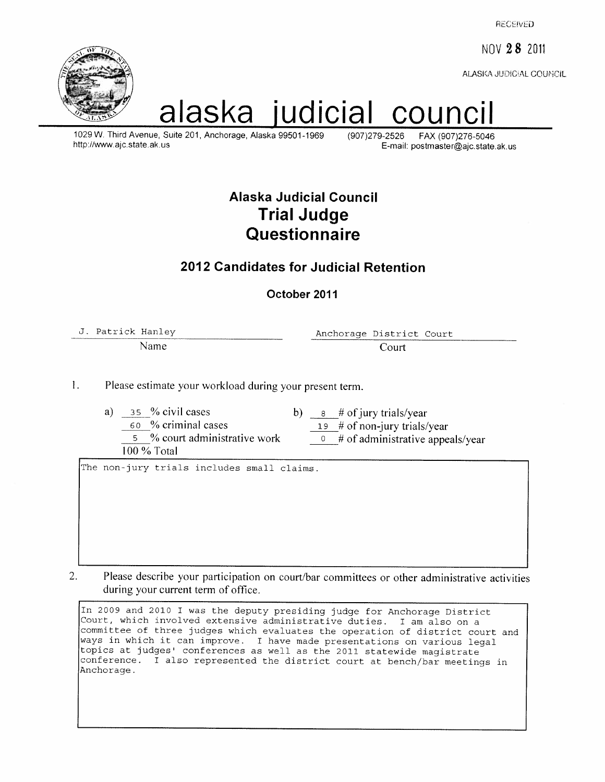**RECEIVED** 

NOV 28 2011

ALASKA JUDICIAL COUNICIL



# alaska iudicial counc

1029 W. Third Avenue, Suite 201, Anchorage, Alaska 99501-1969 http://www.ajc.state.ak.us

(907) 279-2526 FAX (907)276-5046 E-mail: postmaster@ajc.state.ak.us

## Alaska Judicial Council **Trial Judge** Questionnaire

#### 2012 Candidates for Judicial Retention

#### October 2011

J. Patrick Hanley Name

Anchorage District Court Court

 $\mathbf{1}$ . Please estimate your workload during your present term.

a)  $35\%$  civil cases 60 % criminal cases 5 % court administrative work

100 % Total

b)  $\frac{1}{8}$  # of jury trials/year

19  $\#$  of non-jury trials/year

 $\theta$  # of administrative appeals/year

The non-jury trials includes small claims.

 $2.$ Please describe your participation on court/bar committees or other administrative activities during your current term of office.

In 2009 and 2010 I was the deputy presiding judge for Anchorage District Court, which involved extensive administrative duties. I am also on a committee of three judges which evaluates the operation of district court and ways in which it can improve. I have made presentations on various legal<br>topics at judges' conferences as well as the 2011 statewide magistrate conference. I also represented the district court at bench/bar meetings in Anchorage.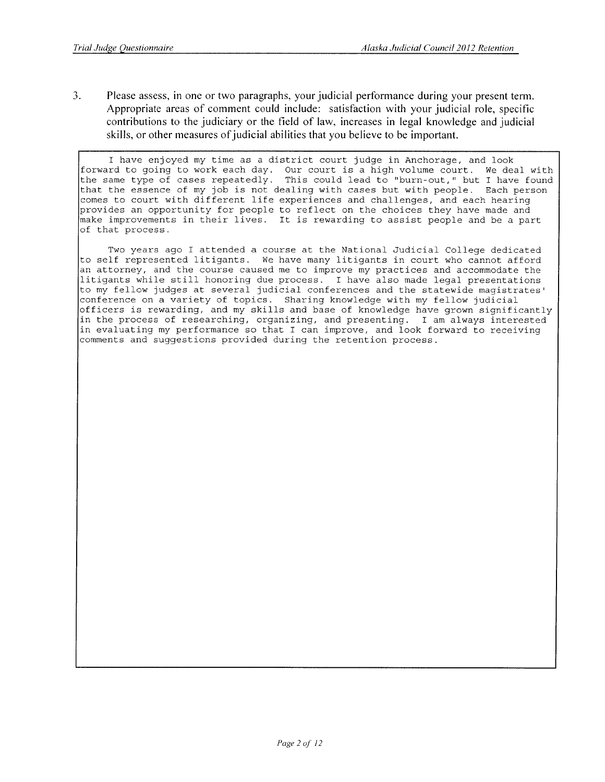$\overline{3}$ . Please assess, in one or two paragraphs, your judicial performance during your present term. Appropriate areas of comment could include: satisfaction with your judicial role, specific contributions to the judiciary or the field of law, increases in legal knowledge and judicial skills, or other measures of judicial abilities that you believe to be important.

I have enjoyed my time as a district court judge in Anchorage, and look forward to going to work each day. Our court is a high volume court. We deal with the same type of cases repeatedly. This could lead to "burn-out," but I have found that the essence of my job is not dealing with cases but with people. Each person comes to court with different life experiences and challenges, and each hearing provides an opportunity for people to reflect on the choices they have made and make improvements in their lives. It is rewarding to assist people and be a part of that process.

Two years ago I attended a course at the National Judicial College dedicated to self represented litigants. We have many litigants in court who cannot afford an attorney, and the course caused me to improve my practices and accommodate the litigants while still honoring due process. I have also made legal presentations to my fellow judges at several judicial conferences and the statewide magistrates' conference on a variety of topics. Sharing knowledge with my fellow judicial officers is rewarding, and my skills and base of knowledge have grown significantly in the process of researching, organizing, and presenting. I am always interested in evaluating my performance so that I can improve, and look forward to receiving comments and suggestions provided during the retention process.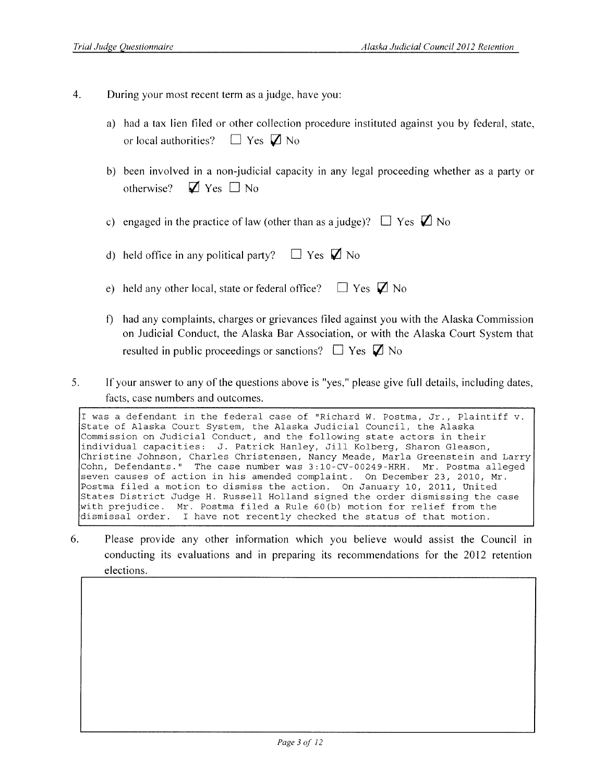- $4.$ During your most recent term as a judge, have you:
	- a) had a tax lien filed or other collection procedure instituted against you by federal, state,  $\Box$  Yes  $\Box$  No or local authorities?
	- b) been involved in a non-judicial capacity in any legal proceeding whether as a party or  $\nabla$  Yes  $\Box$  No otherwise?
	- c) engaged in the practice of law (other than as a judge)?  $\Box$  Yes  $\Box$  No
	- $\Box$  Yes  $\Box$  No d) held office in any political party?
	- e) held any other local, state or federal office?  $\Box$  Yes  $\Box$  No
	- f) had any complaints, charges or grievances filed against you with the Alaska Commission on Judicial Conduct, the Alaska Bar Association, or with the Alaska Court System that resulted in public proceedings or sanctions?  $\Box$  Yes  $\Box$  No
- $5<sub>1</sub>$ If your answer to any of the questions above is "yes," please give full details, including dates, facts, case numbers and outcomes.

I was a defendant in the federal case of "Richard W. Postma, Jr., Plaintiff v. State of Alaska Court System, the Alaska Judicial Council, the Alaska Commission on Judicial Conduct, and the following state actors in their individual capacities: J. Patrick Hanley, Jill Kolberg, Sharon Gleason, Christine Johnson, Charles Christensen, Nancy Meade, Marla Greenstein and Larry Cohn, Defendants." The case number was 3:10-CV-00249-HRH. Mr. Postma alleged seven causes of action in his amended complaint. On December 23, 2010, Mr. Postma filed a motion to dismiss the action. On January 10, 2011, United States District Judge H. Russell Holland signed the order dismissing the case with prejudice. Mr. Postma filed a Rule 60(b) motion for relief from the dismissal order. I have not recently checked the status of that motion.

6. Please provide any other information which you believe would assist the Council in conducting its evaluations and in preparing its recommendations for the 2012 retention elections.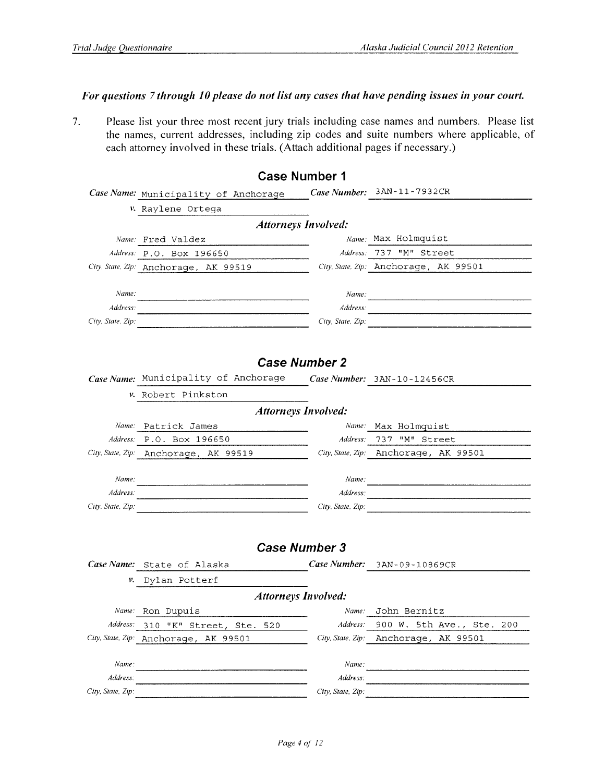#### For questions 7 through 10 please do not list any cases that have pending issues in your court.

 $7.$ Please list your three most recent jury trials including case names and numbers. Please list the names, current addresses, including zip codes and suite numbers where applicable, of each attorney involved in these trials. (Attach additional pages if necessary.)

|                               |                                                                                                                      | <b>Case Number 1</b>       |                                       |
|-------------------------------|----------------------------------------------------------------------------------------------------------------------|----------------------------|---------------------------------------|
|                               | Case Name: Municipality of Anchorage                                                                                 |                            | Case Number: 3AN-11-7932CR            |
|                               | v. Raylene Ortega                                                                                                    |                            |                                       |
|                               |                                                                                                                      | <b>Attorneys Involved:</b> |                                       |
|                               | Name: Fred Valdez                                                                                                    |                            | Name: Max Holmquist                   |
|                               | Address: P.O. Box 196650                                                                                             |                            | Address: 737 "M" Street               |
|                               | City, State, Zip: Anchorage, AK 99519                                                                                |                            | City, State, Zip: Anchorage, AK 99501 |
|                               |                                                                                                                      |                            |                                       |
| Name:                         |                                                                                                                      |                            | Name:                                 |
| Address:                      |                                                                                                                      |                            | Address:                              |
| City, State, Zip:             |                                                                                                                      |                            | City, State, Zip:                     |
|                               |                                                                                                                      |                            |                                       |
|                               |                                                                                                                      |                            |                                       |
|                               |                                                                                                                      | <b>Case Number 2</b>       |                                       |
|                               | Case Name: Municipality of Anchorage                                                                                 |                            | Case Number: 3AN-10-12456CR           |
|                               | v. Robert Pinkston                                                                                                   |                            |                                       |
|                               | <b>Attorneys Involved:</b>                                                                                           |                            |                                       |
|                               | Name: Patrick James                                                                                                  |                            | Name: Max Holmquist                   |
|                               | Address: P.O. Box 196650                                                                                             |                            | Address: 737 "M" Street               |
|                               | City, State, Zip: Anchorage, AK 99519                                                                                |                            | City, State, Zip: Anchorage, AK 99501 |
|                               |                                                                                                                      |                            |                                       |
| Name:                         | <u> 1980 - Jan James Alexandro Alexandro Alexandro Alexandro Alexandro Alexandro Alexandro Alexandro Alexandro A</u> |                            |                                       |
| Address:<br>City, State, Zip: |                                                                                                                      | Address:                   |                                       |
|                               |                                                                                                                      |                            | City, State, Zip:                     |
|                               |                                                                                                                      |                            |                                       |
|                               |                                                                                                                      | <b>Case Number 3</b>       |                                       |
|                               | Case Name: State of Alaska                                                                                           |                            | Case Number: 3AN-09-10869CR           |
| ν.                            | Dylan Potterf                                                                                                        |                            |                                       |
|                               | <b>Attorneys Involved:</b>                                                                                           |                            |                                       |
|                               | Name: Ron Dupuis                                                                                                     |                            | Name: John Bernitz                    |
|                               | Address: 310 "K" Street, Ste. 520                                                                                    | Address:                   | 900 W. 5th Ave., Ste. 200             |
|                               | City, State, Zip: Anchorage, AK 99501                                                                                | City, State, Zip:          | Anchorage, AK 99501                   |
|                               |                                                                                                                      |                            |                                       |
| Name:                         |                                                                                                                      | Name:                      |                                       |
| Address:                      |                                                                                                                      | Address:                   |                                       |
| City, State, Zip:             |                                                                                                                      | City, State, Zip:          |                                       |
|                               |                                                                                                                      |                            |                                       |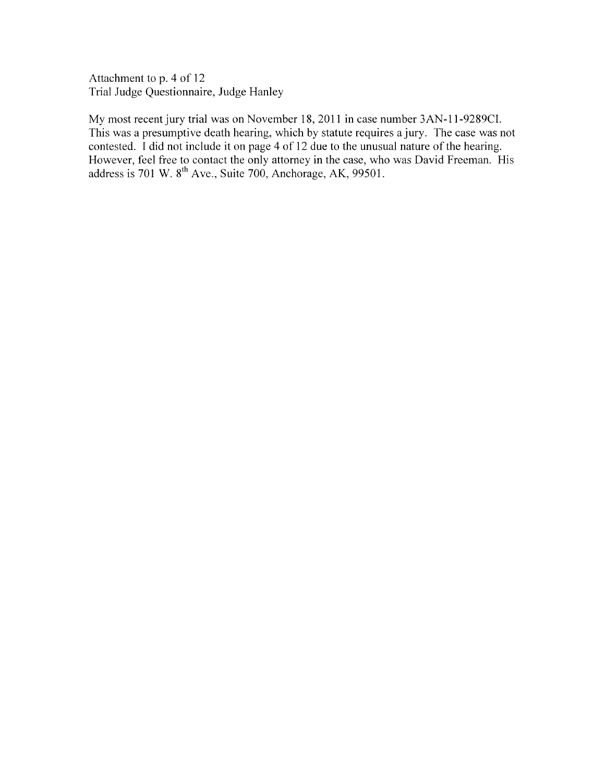Attachment to p. 4 of 12 Trial Judge Questionnaire, Judge Hanley

My most recent jury trial was on November 18, 2011 in case number 3AN-11-9289CI. This was a presumptive death hearing, which by statute requires a jury. The case was not contested. I did not include it on page 4 of 12 due to the unusual nature of the hearing. However, feel free to contact the only attorney in the case, who was David Freeman. His address is 701 W. 8<sup>th</sup> Ave., Suite 700, Anchorage, AK, 99501.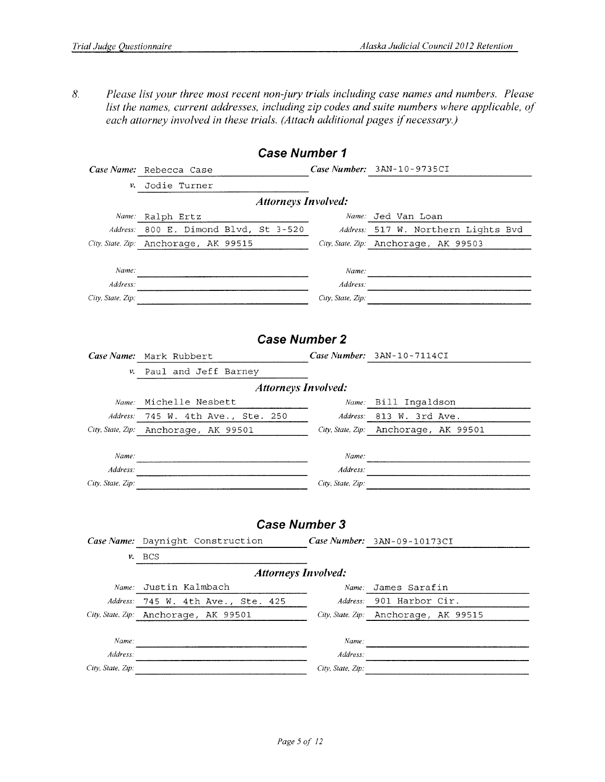$\delta$ . Please list your three most recent non-jury trials including case names and numbers. Please list the names, current addresses, including zip codes and suite numbers where applicable, of each attorney involved in these trials. (Attach additional pages if necessary.)

|                   | <b>Case Number 1</b>                                             |                   |                                       |
|-------------------|------------------------------------------------------------------|-------------------|---------------------------------------|
|                   | Case Name: Rebecca Case                                          |                   | Case Number: 3AN-10-9735CI            |
| ν.                | Jodie Turner                                                     |                   |                                       |
|                   | <b>Attorneys Involved:</b>                                       |                   |                                       |
|                   | Name: Ralph Ertz                                                 |                   | Name: Jed Van Loan                    |
| Address:          | 800 E. Dimond Blvd, St 3-520 Address: 517 W. Northern Lights Bvd |                   |                                       |
|                   | City, State, Zip: Anchorage, AK 99515                            |                   | City, State, Zip: Anchorage, AK 99503 |
|                   |                                                                  |                   |                                       |
| Name:             |                                                                  | Name:             |                                       |
| Address:          |                                                                  |                   | Address: <u>Address:</u>              |
| City, State, Zip: |                                                                  | City, State, Zip: |                                       |
|                   |                                                                  |                   |                                       |
|                   |                                                                  |                   |                                       |
|                   | <b>Case Number 2</b>                                             |                   |                                       |
|                   | Case Name: Mark Rubbert                                          |                   | Case Number: 3AN-10-7114CI            |
|                   | v. Paul and Jeff Barney                                          |                   |                                       |
|                   | <b>Attorneys Involved:</b>                                       |                   |                                       |
| Name:             | Michelle Nesbett                                                 |                   | Name: Bill Ingaldson                  |
|                   | Address: 745 W. 4th Ave., Ste. 250                               |                   | Address: 813 W. 3rd Ave.              |
|                   | City, State, Zip: Anchorage, AK 99501                            |                   | City, State, Zip: Anchorage, AK 99501 |
|                   |                                                                  |                   |                                       |
| Name:             |                                                                  |                   | Name:                                 |
| Address:          |                                                                  | Address:          |                                       |
| City, State, Zip. |                                                                  | City, State, Zip: |                                       |
|                   |                                                                  |                   |                                       |
|                   |                                                                  |                   |                                       |
|                   | <b>Case Number 3</b>                                             |                   |                                       |
|                   | Case Name: Daynight Construction                                 |                   | Case Number: 3AN-09-10173CI           |
|                   | $v.$ BCS                                                         |                   |                                       |
|                   | <b>Attorneys Involved:</b>                                       |                   |                                       |
|                   | Name: Justin Kalmbach                                            |                   | <i>Name:</i> James Sarafin            |
| Address:          | 745 W. 4th Ave., Ste. 425                                        | Address:          | 901 Harbor Cir.                       |
| City, State, Zip: | Anchorage, AK 99501                                              | City, State, Zip: | Anchorage, AK 99515                   |
|                   |                                                                  |                   |                                       |
| Name:             |                                                                  | Name:             |                                       |
| Address:          |                                                                  | Address:          |                                       |
| City, State, Zip: |                                                                  | City, State, Zip: |                                       |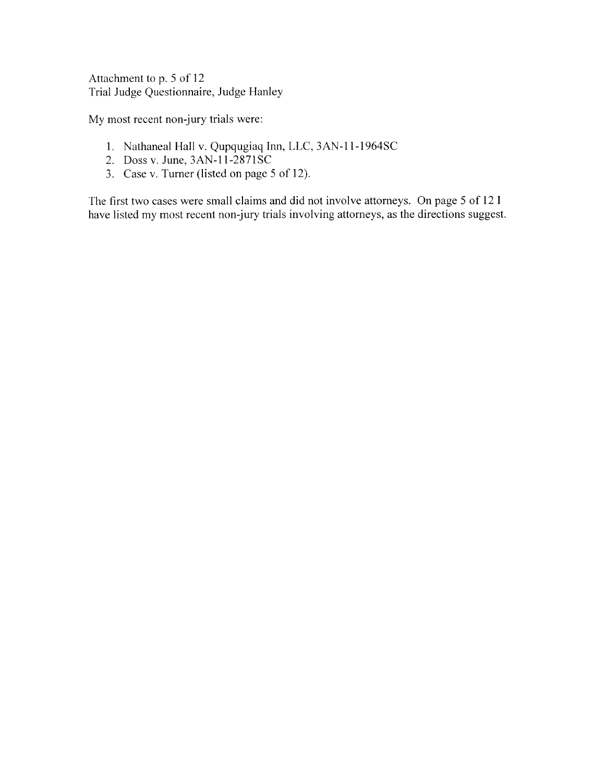Attachment to p. 5 of 12 Trial Judge Questionnaire, Judge Hanley

My most recent non-jury trials were:

- 1. Nathaneal Hall v. Qupqugiaq Inn, LLC, 3AN-11-1964SC
- 2. Doss v. June, 3AN-11-2871SC
- 3. Case v. Turner (listed on page 5 of 12).

The first two cases were small claims and did not involve attorneys. On page 5 of 12 I have listed my most recent non-jury trials involving attorneys, as the directions suggest.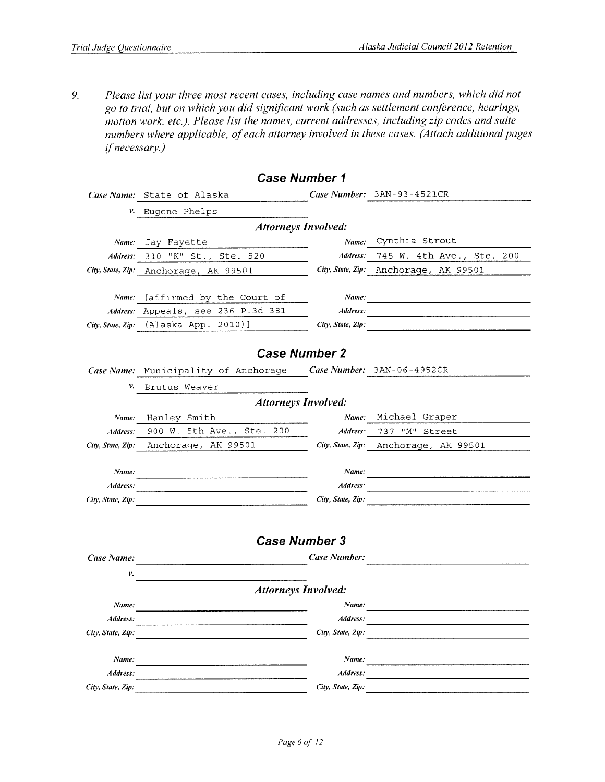9. Please list your three most recent cases, including case names and numbers, which did not go to trial, but on which you did significant work (such as settlement conference, hearings, motion work, etc.). Please list the names, current addresses, including zip codes and suite numbers where applicable, of each attorney involved in these cases. (Attach additional pages *if necessary.)* 

|                               | <b>Case Number 1</b>                  |                               |                              |
|-------------------------------|---------------------------------------|-------------------------------|------------------------------|
|                               | Case Name: State of Alaska            |                               | Case Number: $3AN-93-4521CR$ |
| ν.                            | Eugene Phelps                         |                               |                              |
|                               | <b>Attorneys Involved:</b>            |                               |                              |
|                               | Name: Jay Fayette                     | Name:                         | Cynthia Strout               |
| Address:                      | 310 "K" St., Ste. 520                 | Address:                      | 745 W. 4th Ave., Ste. 200    |
|                               | City, State, Zip: Anchorage, AK 99501 | City, State, Zip:             | Anchorage, AK 99501          |
|                               |                                       |                               |                              |
| Name:                         | [affirmed by the Court of             | Name:                         |                              |
|                               | Address: Appeals, see 236 P.3d 381    | Address:                      |                              |
|                               | City, State, Zip: (Alaska App. 2010)] | City, State, Zip:             |                              |
|                               |                                       |                               |                              |
|                               | <b>Case Number 2</b>                  |                               |                              |
|                               | Case Name: Municipality of Anchorage  |                               | Case Number: $3AN-06-4952CR$ |
| v.                            | Brutus Weaver                         |                               |                              |
|                               | <b>Attorneys Involved:</b>            |                               |                              |
| Name:                         | Hanley Smith                          | Name:                         | Michael Graper               |
| Address:                      | 900 W. 5th Ave., Ste. 200             | Address:                      | 737 "M" Street               |
| City, State, Zip:             | Anchorage, AK 99501                   | City, State, Zip:             | Anchorage, AK 99501          |
|                               |                                       |                               |                              |
| Name:                         |                                       | Name:                         |                              |
| Address:                      |                                       | Address:                      |                              |
| City, State, Zip:             |                                       | City, State, Zip:             |                              |
|                               |                                       |                               |                              |
|                               | <b>Case Number 3</b>                  |                               |                              |
|                               |                                       |                               |                              |
| Case Name:                    |                                       | Case Number:                  |                              |
| ν.                            |                                       |                               |                              |
|                               | <b>Attorneys Involved:</b>            |                               |                              |
| Name:                         |                                       | Name:                         |                              |
| Address:                      |                                       | Address:                      |                              |
| City, State, Zip:             |                                       | City, State, Zip:             |                              |
|                               |                                       |                               |                              |
| Name:                         |                                       | Name:                         |                              |
| Address:<br>City, State, Zip: |                                       | Address:<br>City, State, Zip: |                              |
|                               |                                       |                               |                              |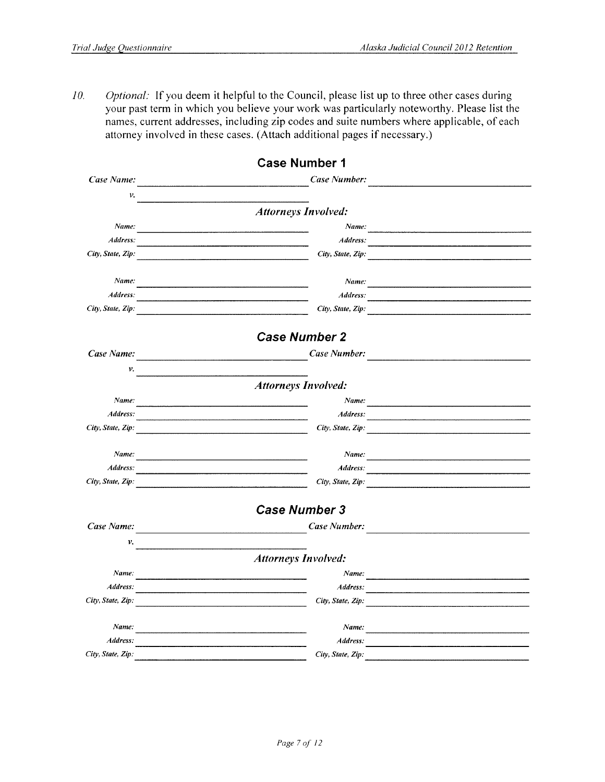10. Optional: If you deem it helpful to the Council, please list up to three other cases during your past term in which you believe your work was particularly noteworthy. Please list the names, current addresses, including zip codes and suite numbers where applicable, of each attorney involved in these cases. (Attach additional pages if necessary.)

|                   | <b>Case Number 1</b>                                                                                                           |                                                                                                                             |
|-------------------|--------------------------------------------------------------------------------------------------------------------------------|-----------------------------------------------------------------------------------------------------------------------------|
| Case Name:        | Case Number:                                                                                                                   |                                                                                                                             |
| ν.                |                                                                                                                                |                                                                                                                             |
|                   | <b>Attorneys Involved:</b>                                                                                                     |                                                                                                                             |
| Name:             |                                                                                                                                | Name:                                                                                                                       |
| Address:          | Address:                                                                                                                       | <u> 1980 - An Aonaichte ann an Comhair ann an Comhair ann an Comhair ann an Comhair ann an Comhair ann an Comhair an Co</u> |
| City, State, Zip: | City, State, Zip:                                                                                                              |                                                                                                                             |
| Name:             | Name:                                                                                                                          |                                                                                                                             |
| Address:          | Address:                                                                                                                       |                                                                                                                             |
| City, State, Zip: | City, State, Zip:                                                                                                              |                                                                                                                             |
|                   | <b>Case Number 2</b>                                                                                                           |                                                                                                                             |
| Case Name:        | Case Number:                                                                                                                   |                                                                                                                             |
| ν.                |                                                                                                                                |                                                                                                                             |
|                   | <b>Attorneys Involved:</b>                                                                                                     |                                                                                                                             |
| Name:             |                                                                                                                                | Name:                                                                                                                       |
| Address:          | Address:                                                                                                                       |                                                                                                                             |
| City, State, Zip: | City, State, Zip:<br><u> 1980 - Jan Barat, Amerikaansk politiker (</u> † 1922)                                                 |                                                                                                                             |
| Name:             | Name:<br><u> 1989 - Jan James James James James James James James James James James James James James James James James Ja</u> |                                                                                                                             |
| Address:          | <u> 1980 - Johann Stein, marwolaethau a bhann an t-Amhainn an t-Amhainn an t-Amhainn an t-Amhainn an t-Amhainn an </u>         |                                                                                                                             |
| City, State, Zip: | City, State, Zip:                                                                                                              |                                                                                                                             |
|                   | <b>Case Number 3</b>                                                                                                           |                                                                                                                             |
| Case Name:        | Case Number:                                                                                                                   |                                                                                                                             |
| ν.                |                                                                                                                                |                                                                                                                             |
|                   | <b>Attorneys Involved:</b>                                                                                                     |                                                                                                                             |
| Name:             |                                                                                                                                |                                                                                                                             |
| Address:          | Address:<br>the contract of the contract of the contract of the contract of the contract of                                    |                                                                                                                             |
| City, State, Zip: | City, State, Zip:                                                                                                              | <del>ॱ</del><br><u>ॱ</u>                                                                                                    |
| Name:             | Name:                                                                                                                          | <u> 1980 - Jan Stein Stein Stein Stein Stein Stein Stein Stein Stein Stein Stein Stein Stein Stein Stein Stein St</u>       |
| Address:          | Address:                                                                                                                       |                                                                                                                             |
| City, State, Zip: | City, State, Zip:                                                                                                              |                                                                                                                             |
|                   |                                                                                                                                |                                                                                                                             |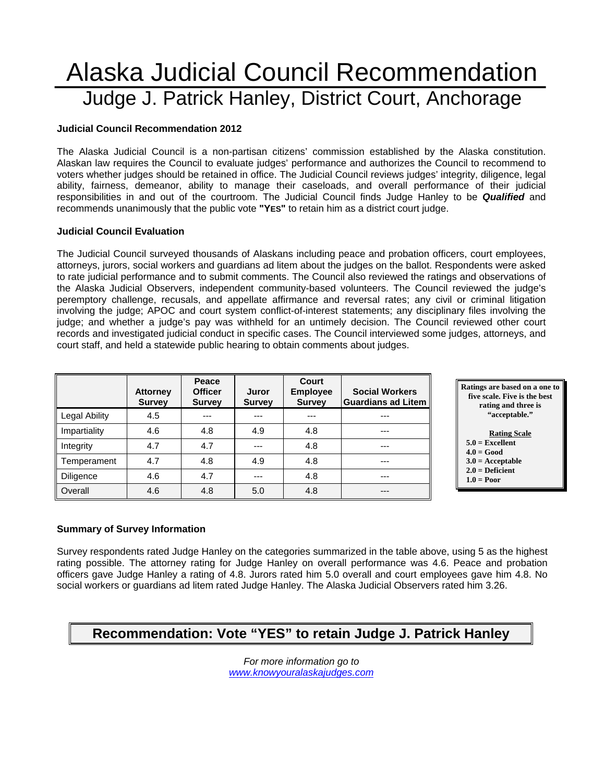## Alaska Judicial Council Recommendation Judge J. Patrick Hanley, District Court, Anchorage

#### **Judicial Council Recommendation 2012**

The Alaska Judicial Council is a non-partisan citizens' commission established by the Alaska constitution. Alaskan law requires the Council to evaluate judges' performance and authorizes the Council to recommend to voters whether judges should be retained in office. The Judicial Council reviews judges' integrity, diligence, legal ability, fairness, demeanor, ability to manage their caseloads, and overall performance of their judicial responsibilities in and out of the courtroom. The Judicial Council finds Judge Hanley to be *Qualified* and recommends unanimously that the public vote **"YES"** to retain him as a district court judge.

#### **Judicial Council Evaluation**

The Judicial Council surveyed thousands of Alaskans including peace and probation officers, court employees, attorneys, jurors, social workers and guardians ad litem about the judges on the ballot. Respondents were asked to rate judicial performance and to submit comments. The Council also reviewed the ratings and observations of the Alaska Judicial Observers, independent community-based volunteers. The Council reviewed the judge's peremptory challenge, recusals, and appellate affirmance and reversal rates; any civil or criminal litigation involving the judge; APOC and court system conflict-of-interest statements; any disciplinary files involving the judge; and whether a judge's pay was withheld for an untimely decision. The Council reviewed other court records and investigated judicial conduct in specific cases. The Council interviewed some judges, attorneys, and court staff, and held a statewide public hearing to obtain comments about judges.

|                      | <b>Attorney</b><br><b>Survey</b> | Peace<br><b>Officer</b><br><b>Survey</b> | Juror<br><b>Survey</b> | Court<br><b>Employee</b><br><b>Survey</b> | <b>Social Workers</b><br><b>Guardians ad Litem</b> |
|----------------------|----------------------------------|------------------------------------------|------------------------|-------------------------------------------|----------------------------------------------------|
| <b>Legal Ability</b> | 4.5                              | ---                                      | ---                    |                                           | ---                                                |
| Impartiality         | 4.6                              | 4.8                                      | 4.9                    | 4.8                                       | ---                                                |
| Integrity            | 4.7                              | 4.7                                      | ---                    | 4.8                                       | ---                                                |
| Temperament          | 4.7                              | 4.8                                      | 4.9                    | 4.8                                       | ---                                                |
| <b>Diligence</b>     | 4.6                              | 4.7                                      | ---                    | 4.8                                       | ---                                                |
| Overall              | 4.6                              | 4.8                                      | 5.0                    | 4.8                                       | ---                                                |



- **Rating Scale**
- **5.0 = Excellent 4.0 = Good**
- **3.0 = Acceptable**
- **2.0 = Deficient**
- **1.0 = Poor**

#### **Summary of Survey Information**

Survey respondents rated Judge Hanley on the categories summarized in the table above, using 5 as the highest rating possible. The attorney rating for Judge Hanley on overall performance was 4.6. Peace and probation officers gave Judge Hanley a rating of 4.8. Jurors rated him 5.0 overall and court employees gave him 4.8. No social workers or guardians ad litem rated Judge Hanley. The Alaska Judicial Observers rated him 3.26.

### **Recommendation: Vote "YES" to retain Judge J. Patrick Hanley**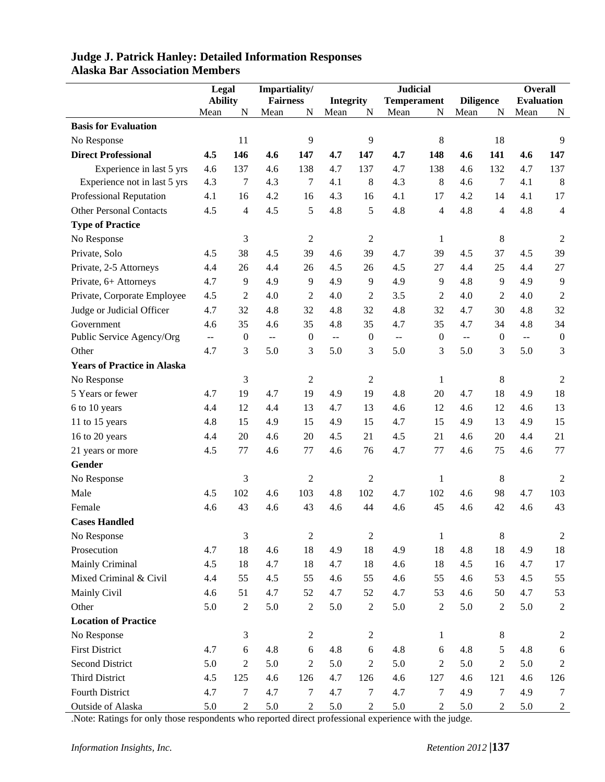|                                    | Legal                    |                  | Impartiality/               |                  |                          |                | <b>Judicial</b>             |                  |                             |                | <b>Overall</b>    |                  |
|------------------------------------|--------------------------|------------------|-----------------------------|------------------|--------------------------|----------------|-----------------------------|------------------|-----------------------------|----------------|-------------------|------------------|
|                                    | <b>Ability</b>           |                  | <b>Fairness</b>             |                  | <b>Integrity</b>         |                | <b>Temperament</b>          |                  | <b>Diligence</b>            |                | <b>Evaluation</b> |                  |
|                                    | Mean                     | N                | Mean                        | N                | Mean                     | N              | Mean                        | N                | Mean                        | N              | Mean              | N                |
| <b>Basis for Evaluation</b>        |                          |                  |                             |                  |                          |                |                             |                  |                             |                |                   |                  |
| No Response                        |                          | 11               |                             | 9                |                          | 9              |                             | 8                |                             | 18             |                   | 9                |
| <b>Direct Professional</b>         | 4.5                      | 146              | 4.6                         | 147              | 4.7                      | 147            | 4.7                         | 148              | 4.6                         | 141            | 4.6               | 147              |
| Experience in last 5 yrs           | 4.6                      | 137              | 4.6                         | 138              | 4.7                      | 137            | 4.7                         | 138              | 4.6                         | 132            | 4.7               | 137              |
| Experience not in last 5 yrs       | 4.3                      | 7                | 4.3                         | 7                | 4.1                      | 8              | 4.3                         | 8                | 4.6                         | 7              | 4.1               | 8                |
| Professional Reputation            | 4.1                      | 16               | 4.2                         | 16               | 4.3                      | 16             | 4.1                         | 17               | 4.2                         | 14             | 4.1               | 17               |
| <b>Other Personal Contacts</b>     | 4.5                      | $\overline{4}$   | 4.5                         | 5                | 4.8                      | 5              | 4.8                         | $\overline{4}$   | 4.8                         | $\overline{4}$ | 4.8               | $\overline{4}$   |
| <b>Type of Practice</b>            |                          |                  |                             |                  |                          |                |                             |                  |                             |                |                   |                  |
| No Response                        |                          | 3                |                             | $\overline{c}$   |                          | $\sqrt{2}$     |                             | $\mathbf{1}$     |                             | 8              |                   | 2                |
| Private, Solo                      | 4.5                      | 38               | 4.5                         | 39               | 4.6                      | 39             | 4.7                         | 39               | 4.5                         | 37             | 4.5               | 39               |
| Private, 2-5 Attorneys             | 4.4                      | 26               | 4.4                         | 26               | 4.5                      | 26             | 4.5                         | 27               | 4.4                         | 25             | 4.4               | 27               |
| Private, 6+ Attorneys              | 4.7                      | 9                | 4.9                         | 9                | 4.9                      | 9              | 4.9                         | 9                | 4.8                         | 9              | 4.9               | 9                |
| Private, Corporate Employee        | 4.5                      | $\overline{c}$   | 4.0                         | $\overline{c}$   | 4.0                      | $\overline{2}$ | 3.5                         | $\overline{2}$   | 4.0                         | 2              | 4.0               | $\overline{2}$   |
| Judge or Judicial Officer          | 4.7                      | 32               | 4.8                         | 32               | 4.8                      | 32             | 4.8                         | 32               | 4.7                         | 30             | 4.8               | 32               |
| Government                         | 4.6                      | 35               | 4.6                         | 35               | 4.8                      | 35             | 4.7                         | 35               | 4.7                         | 34             | 4.8               | 34               |
| Public Service Agency/Org          | $\overline{\phantom{a}}$ | $\boldsymbol{0}$ | $\mathbb{H} \to \mathbb{H}$ | $\boldsymbol{0}$ | $\overline{\phantom{a}}$ | $\overline{0}$ | $\mathcal{L}_{\mathcal{F}}$ | $\boldsymbol{0}$ | $\mathbb{H} \to \mathbb{H}$ | $\overline{0}$ | $\Box$            | $\boldsymbol{0}$ |
| Other                              | 4.7                      | 3                | 5.0                         | 3                | 5.0                      | 3              | 5.0                         | 3                | 5.0                         | 3              | 5.0               | 3                |
| <b>Years of Practice in Alaska</b> |                          |                  |                             |                  |                          |                |                             |                  |                             |                |                   |                  |
| No Response                        |                          | 3                |                             | 2                |                          | $\mathfrak{2}$ |                             | $\mathbf{1}$     |                             | 8              |                   | 2                |
| 5 Years or fewer                   | 4.7                      | 19               | 4.7                         | 19               | 4.9                      | 19             | 4.8                         | 20               | 4.7                         | 18             | 4.9               | 18               |
| 6 to 10 years                      | 4.4                      | 12               | 4.4                         | 13               | 4.7                      | 13             | 4.6                         | 12               | 4.6                         | 12             | 4.6               | 13               |
| 11 to 15 years                     | 4.8                      | 15               | 4.9                         | 15               | 4.9                      | 15             | 4.7                         | 15               | 4.9                         | 13             | 4.9               | 15               |
| 16 to 20 years                     | 4.4                      | 20               | 4.6                         | $20\,$           | 4.5                      | 21             | 4.5                         | 21               | 4.6                         | 20             | 4.4               | 21               |
| 21 years or more                   | 4.5                      | 77               | 4.6                         | 77               | 4.6                      | 76             | 4.7                         | 77               | 4.6                         | 75             | 4.6               | 77               |
| Gender                             |                          |                  |                             |                  |                          |                |                             |                  |                             |                |                   |                  |
| No Response                        |                          | 3                |                             | $\overline{c}$   |                          | $\overline{2}$ |                             | 1                |                             | 8              |                   | $\overline{2}$   |
| Male                               | 4.5                      | 102              | 4.6                         | 103              | 4.8                      | 102            | 4.7                         | 102              | 4.6                         | 98             | 4.7               | 103              |
| Female                             | 4.6                      | 43               | 4.6                         | 43               | 4.6                      | 44             | 4.6                         | 45               | 4.6                         | 42             | 4.6               | 43               |
| <b>Cases Handled</b>               |                          |                  |                             |                  |                          |                |                             |                  |                             |                |                   |                  |
| No Response                        |                          | $\mathfrak{Z}$   |                             | $\sqrt{2}$       |                          | $\sqrt{2}$     |                             | $\mathbf{1}$     |                             | $\,8\,$        |                   | $\overline{2}$   |
| Prosecution                        | 4.7                      | 18               | 4.6                         | 18               | 4.9                      | 18             | 4.9                         | 18               | 4.8                         | 18             | 4.9               | 18               |
| Mainly Criminal                    | 4.5                      | 18               | 4.7                         | 18               | 4.7                      | 18             | 4.6                         | 18               | 4.5                         | 16             | 4.7               | 17               |
| Mixed Criminal & Civil             | 4.4                      | 55               | 4.5                         | 55               | 4.6                      | 55             | 4.6                         | 55               | 4.6                         | 53             | 4.5               | 55               |
| Mainly Civil                       | 4.6                      | 51               | 4.7                         | 52               | 4.7                      | 52             | 4.7                         | 53               | 4.6                         | 50             | 4.7               | 53               |
| Other                              | 5.0                      | $\sqrt{2}$       | 5.0                         | $\sqrt{2}$       | 5.0                      | $\overline{2}$ | 5.0                         | $\sqrt{2}$       | 5.0                         | $\overline{2}$ | 5.0               | $\sqrt{2}$       |
| <b>Location of Practice</b>        |                          |                  |                             |                  |                          |                |                             |                  |                             |                |                   |                  |
| No Response                        |                          | $\mathfrak{Z}$   |                             | $\overline{2}$   |                          | $\overline{2}$ |                             | $\mathbf{1}$     |                             | $8\,$          |                   | $\overline{2}$   |
| <b>First District</b>              | 4.7                      | 6                | 4.8                         | $6\,$            | 4.8                      | 6              | 4.8                         | 6                | 4.8                         | 5              | 4.8               | 6                |
| <b>Second District</b>             | 5.0                      | $\mathfrak{2}$   | 5.0                         | $\sqrt{2}$       | 5.0                      | $\overline{2}$ | 5.0                         | $\overline{2}$   | 5.0                         | $\overline{2}$ | 5.0               | $\overline{2}$   |
| Third District                     | 4.5                      | 125              | 4.6                         | 126              | 4.7                      | 126            | 4.6                         | 127              | 4.6                         | 121            | 4.6               | 126              |
| Fourth District                    | 4.7                      | $\overline{7}$   | 4.7                         | 7                | 4.7                      | 7              | 4.7                         | 7                | 4.9                         | 7              | 4.9               | $\tau$           |
| Outside of Alaska                  | 5.0                      | $\boldsymbol{2}$ | 5.0                         | $\boldsymbol{2}$ | 5.0                      | $\mathfrak{2}$ | 5.0                         | $\overline{2}$   | 5.0                         | $\overline{2}$ | 5.0               | $\boldsymbol{2}$ |

#### **Judge J. Patrick Hanley: Detailed Information Responses Alaska Bar Association Members**

.Note: Ratings for only those respondents who reported direct professional experience with the judge.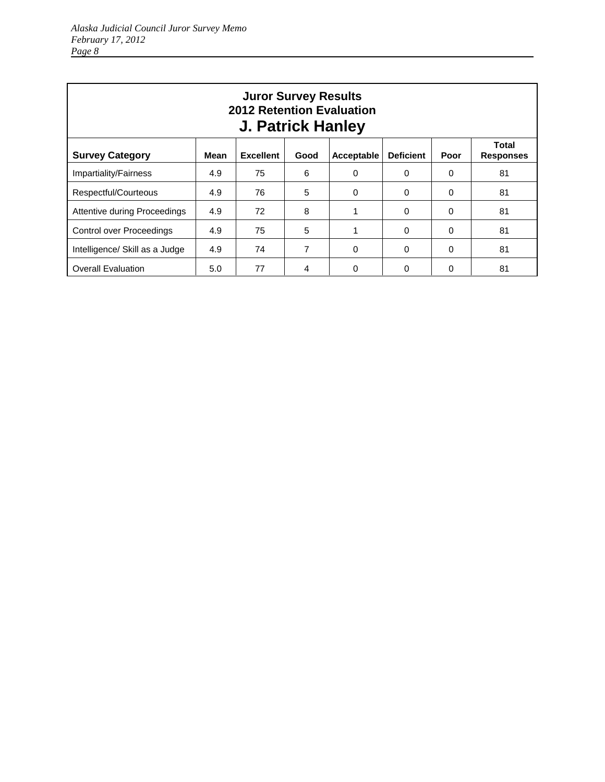| <b>Juror Survey Results</b><br><b>2012 Retention Evaluation</b><br><b>J. Patrick Hanley</b>                                       |     |    |   |              |              |          |    |  |  |  |
|-----------------------------------------------------------------------------------------------------------------------------------|-----|----|---|--------------|--------------|----------|----|--|--|--|
| Total<br><b>Survey Category</b><br><b>Excellent</b><br><b>Deficient</b><br>Mean<br>Good<br>Acceptable<br>Poor<br><b>Responses</b> |     |    |   |              |              |          |    |  |  |  |
| Impartiality/Fairness                                                                                                             | 4.9 | 75 | 6 | $\Omega$     | $\Omega$     | 0        | 81 |  |  |  |
| Respectful/Courteous                                                                                                              | 4.9 | 76 | 5 | 0            | $\Omega$     | 0        | 81 |  |  |  |
| <b>Attentive during Proceedings</b>                                                                                               | 4.9 | 72 | 8 |              | $\Omega$     | 0        | 81 |  |  |  |
| Control over Proceedings                                                                                                          | 4.9 | 75 | 5 | 1            | $\Omega$     | 0        | 81 |  |  |  |
| Intelligence/ Skill as a Judge                                                                                                    | 4.9 | 74 | 7 | $\Omega$     | $\Omega$     | $\Omega$ | 81 |  |  |  |
| <b>Overall Evaluation</b>                                                                                                         | 5.0 | 77 | 4 | <sup>0</sup> | <sup>0</sup> | O        | 81 |  |  |  |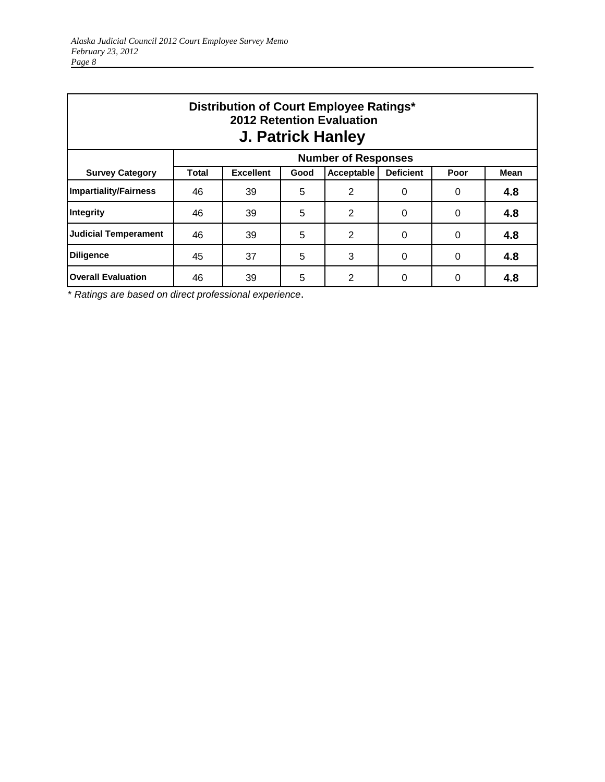| Distribution of Court Employee Ratings*<br>2012 Retention Evaluation<br><b>J. Patrick Hanley</b> |                                            |                                                                                   |   |                |          |   |     |  |  |  |  |  |
|--------------------------------------------------------------------------------------------------|--------------------------------------------|-----------------------------------------------------------------------------------|---|----------------|----------|---|-----|--|--|--|--|--|
| <b>Number of Responses</b>                                                                       |                                            |                                                                                   |   |                |          |   |     |  |  |  |  |  |
| <b>Survey Category</b>                                                                           | Total                                      | <b>Deficient</b><br><b>Excellent</b><br>Acceptable<br>Poor<br><b>Mean</b><br>Good |   |                |          |   |     |  |  |  |  |  |
| <b>Impartiality/Fairness</b>                                                                     | 46                                         | 39                                                                                | 5 | 2              | 0        | 0 | 4.8 |  |  |  |  |  |
| Integrity                                                                                        | 46                                         | 39                                                                                | 5 | $\overline{2}$ | $\Omega$ | 0 | 4.8 |  |  |  |  |  |
| <b>Judicial Temperament</b>                                                                      | 5<br>2<br>4.8<br>46<br>39<br>$\Omega$<br>0 |                                                                                   |   |                |          |   |     |  |  |  |  |  |
| <b>Diligence</b>                                                                                 | 5<br>3<br>37<br>4.8<br>45<br>0<br>0        |                                                                                   |   |                |          |   |     |  |  |  |  |  |
| <b>Overall Evaluation</b>                                                                        | 46                                         | 39                                                                                | 5 | 2              | 0        | 0 | 4.8 |  |  |  |  |  |

\* *Ratings are based on direct professional experience*.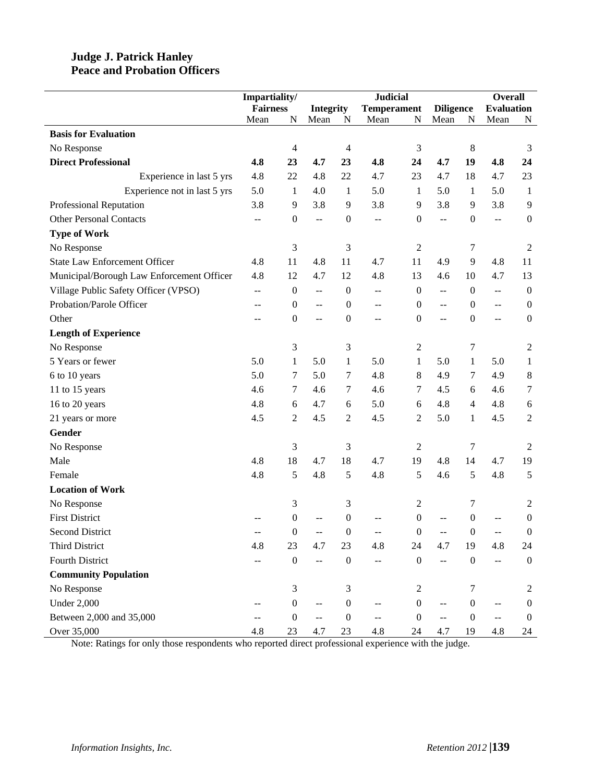#### **Judge J. Patrick Hanley Peace and Probation Officers**

|                                           | Impartiality/   |                  | <b>Judicial</b>                           |                  |                    |                  |                          |                  | <b>Overall</b>           |                  |
|-------------------------------------------|-----------------|------------------|-------------------------------------------|------------------|--------------------|------------------|--------------------------|------------------|--------------------------|------------------|
|                                           | <b>Fairness</b> |                  | <b>Integrity</b>                          |                  | <b>Temperament</b> |                  | <b>Diligence</b>         |                  | <b>Evaluation</b>        |                  |
|                                           | Mean            | N                | Mean                                      | N                | Mean               | N                | Mean                     | N                | Mean                     | N                |
| <b>Basis for Evaluation</b>               |                 |                  |                                           |                  |                    |                  |                          |                  |                          |                  |
| No Response                               |                 | $\overline{4}$   |                                           | 4                |                    | $\mathfrak{Z}$   |                          | $8\,$            |                          | 3                |
| <b>Direct Professional</b>                | 4.8             | 23               | 4.7                                       | 23               | 4.8                | 24               | 4.7                      | 19               | 4.8                      | 24               |
| Experience in last 5 yrs                  | 4.8             | 22               | 4.8                                       | 22               | 4.7                | 23               | 4.7                      | 18               | 4.7                      | 23               |
| Experience not in last 5 yrs              | 5.0             | 1                | 4.0                                       | 1                | 5.0                | 1                | 5.0                      | 1                | 5.0                      | 1                |
| Professional Reputation                   | 3.8             | 9                | 3.8                                       | 9                | 3.8                | 9                | 3.8                      | 9                | 3.8                      | 9                |
| <b>Other Personal Contacts</b>            | $-$             | $\boldsymbol{0}$ | $\overline{a}$                            | $\boldsymbol{0}$ | $\overline{a}$     | $\boldsymbol{0}$ | $\overline{a}$           | $\boldsymbol{0}$ | $\overline{\phantom{a}}$ | $\boldsymbol{0}$ |
| <b>Type of Work</b>                       |                 |                  |                                           |                  |                    |                  |                          |                  |                          |                  |
| No Response                               |                 | 3                |                                           | 3                |                    | $\boldsymbol{2}$ |                          | 7                |                          | 2                |
| <b>State Law Enforcement Officer</b>      | 4.8             | 11               | 4.8                                       | 11               | 4.7                | 11               | 4.9                      | 9                | 4.8                      | 11               |
| Municipal/Borough Law Enforcement Officer | 4.8             | 12               | 4.7                                       | 12               | 4.8                | 13               | 4.6                      | 10               | 4.7                      | 13               |
| Village Public Safety Officer (VPSO)      | $- -$           | $\boldsymbol{0}$ | $\mathrel{{-}\mathrel{{-}}\mathrel{{-}}}$ | $\boldsymbol{0}$ | $- -$              | $\boldsymbol{0}$ | $\overline{\phantom{a}}$ | $\boldsymbol{0}$ | $\overline{a}$           | $\boldsymbol{0}$ |
| Probation/Parole Officer                  | --              | $\boldsymbol{0}$ | $-$                                       | $\boldsymbol{0}$ | --                 | $\boldsymbol{0}$ | $-$                      | $\overline{0}$   | $\overline{a}$           | $\boldsymbol{0}$ |
| Other                                     | --              | $\boldsymbol{0}$ | $-$                                       | $\boldsymbol{0}$ | --                 | $\mathbf{0}$     | $-$                      | $\boldsymbol{0}$ | $\overline{\phantom{a}}$ | $\boldsymbol{0}$ |
| <b>Length of Experience</b>               |                 |                  |                                           |                  |                    |                  |                          |                  |                          |                  |
| No Response                               |                 | 3                |                                           | 3                |                    | 2                |                          | 7                |                          | 2                |
| 5 Years or fewer                          | 5.0             | $\mathbf{1}$     | 5.0                                       | $\mathbf{1}$     | 5.0                | $\mathbf{1}$     | 5.0                      | 1                | 5.0                      | $\mathbf{1}$     |
| 6 to 10 years                             | 5.0             | 7                | 5.0                                       | $\tau$           | 4.8                | 8                | 4.9                      | 7                | 4.9                      | $\,8\,$          |
| 11 to 15 years                            | 4.6             | $\tau$           | 4.6                                       | $\tau$           | 4.6                | 7                | 4.5                      | 6                | 4.6                      | $\tau$           |
| 16 to 20 years                            | 4.8             | 6                | 4.7                                       | 6                | 5.0                | 6                | 4.8                      | $\overline{4}$   | 4.8                      | $\boldsymbol{6}$ |
| 21 years or more                          | 4.5             | $\overline{2}$   | 4.5                                       | $\sqrt{2}$       | 4.5                | 2                | 5.0                      | 1                | 4.5                      | $\overline{2}$   |
| Gender                                    |                 |                  |                                           |                  |                    |                  |                          |                  |                          |                  |
| No Response                               |                 | 3                |                                           | 3                |                    | 2                |                          | 7                |                          | $\overline{2}$   |
| Male                                      | 4.8             | 18               | 4.7                                       | 18               | 4.7                | 19               | 4.8                      | 14               | 4.7                      | 19               |
| Female                                    | 4.8             | 5                | 4.8                                       | 5                | 4.8                | 5                | 4.6                      | 5                | 4.8                      | 5                |
| <b>Location of Work</b>                   |                 |                  |                                           |                  |                    |                  |                          |                  |                          |                  |
| No Response                               |                 | 3                |                                           | 3                |                    | $\boldsymbol{2}$ |                          | 7                |                          | 2                |
| <b>First District</b>                     |                 | 0                |                                           | $\boldsymbol{0}$ |                    | 0                |                          | $\boldsymbol{0}$ |                          | $\boldsymbol{0}$ |
| <b>Second District</b>                    |                 | $\boldsymbol{0}$ |                                           | $\boldsymbol{0}$ |                    | $\boldsymbol{0}$ |                          | $\boldsymbol{0}$ |                          | $\theta$         |
| Third District                            | 4.8             | 23               | 4.7                                       | 23               | 4.8                | 24               | 4.7                      | 19               | 4.8                      | 24               |
| <b>Fourth District</b>                    |                 | $\boldsymbol{0}$ | $-$                                       | $\boldsymbol{0}$ | --                 | $\boldsymbol{0}$ | $\overline{a}$           | $\boldsymbol{0}$ | $\overline{a}$           | $\boldsymbol{0}$ |
| <b>Community Population</b>               |                 |                  |                                           |                  |                    |                  |                          |                  |                          |                  |
| No Response                               |                 | 3                |                                           | 3                |                    | 2                |                          | 7                |                          | 2                |
| <b>Under 2,000</b>                        |                 | $\boldsymbol{0}$ | $-$                                       | $\boldsymbol{0}$ |                    | $\boldsymbol{0}$ |                          | $\boldsymbol{0}$ |                          | $\boldsymbol{0}$ |
| Between 2,000 and 35,000                  | $-$             | $\boldsymbol{0}$ | $-$                                       | $\boldsymbol{0}$ | --                 | $\boldsymbol{0}$ | $\overline{a}$           | $\boldsymbol{0}$ | --                       | $\boldsymbol{0}$ |
| Over 35,000                               | 4.8             | 23               | 4.7                                       | 23               | 4.8                | 24               | 4.7                      | 19               | 4.8                      | 24               |

Note: Ratings for only those respondents who reported direct professional experience with the judge.